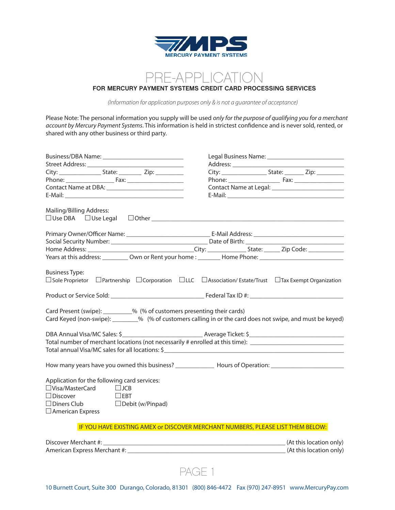

## PRF-APPLICATION **FOR MERCURY PAYMENT SYSTEMS CREDIT CARD PROCESSING SERVICES**

*(Information for application purposes only & is not a guarantee of acceptance)*

Please Note: The personal information you supply will be used *only for the purpose of qualifying you for a merchant account by Mercury Payment Systems*. This information is held in strictest confidence and is never sold, rented, or shared with any other business or third party.

| Mailing/Billing Address:<br>$\square$ Use DBA $\square$ Use Legal $\square$ Other $\square$                                                                                                 |  |
|---------------------------------------------------------------------------------------------------------------------------------------------------------------------------------------------|--|
|                                                                                                                                                                                             |  |
|                                                                                                                                                                                             |  |
|                                                                                                                                                                                             |  |
| Years at this address: ___________ Own or Rent your home : _________ Home Phone: ____________________________                                                                               |  |
| <b>Business Type:</b><br>$\Box$ Sole Proprietor $\Box$ Partnership $\Box$ Corporation $\Box$ LLC $\Box$ Association/ Estate/Trust $\Box$ Tax Exempt Organization                            |  |
|                                                                                                                                                                                             |  |
| Card Present (swipe): _________% (% of customers presenting their cards)<br>Card Keyed (non-swipe): ________% (% of customers calling in or the card does not swipe, and must be keyed)     |  |
|                                                                                                                                                                                             |  |
| Total number of merchant locations (not necessarily # enrolled at this time):                                                                                                               |  |
|                                                                                                                                                                                             |  |
|                                                                                                                                                                                             |  |
| Application for the following card services:<br>$\Box$ Visa/MasterCard $\Box$ JCB<br>$\Box$ Discover<br>$\Box$ EBT<br>$\Box$ Diners Club $\Box$ Debit (w/Pinpad)<br>$\Box$ American Express |  |
| IF YOU HAVE EXISTING AMEX or DISCOVER MERCHANT NUMBERS, PLEASE LIST THEM BELOW:                                                                                                             |  |
|                                                                                                                                                                                             |  |
| American Express Merchant #: (At this location only)                                                                                                                                        |  |
|                                                                                                                                                                                             |  |